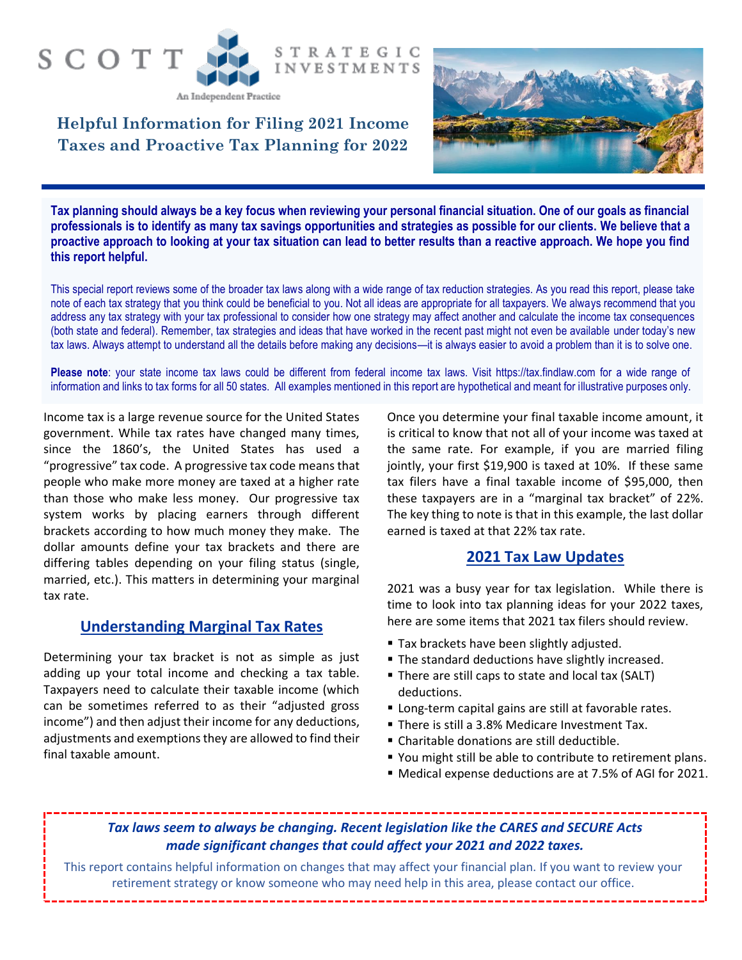#### **STRATEGIC INVESTMENTS**

An Independent Practice

SCOTT

**Helpful Information for Filing 2021 Income Taxes and Proactive Tax Planning for 2022**



**Tax planning should always be a key focus when reviewing your personal financial situation. One of our goals as financial professionals is to identify as many tax savings opportunities and strategies as possible for our clients. We believe that a proactive approach to looking at your tax situation can lead to better results than a reactive approach. We hope you find this report helpful.**

This special report reviews some of the broader tax laws along with a wide range of tax reduction strategies. As you read this report, please take note of each tax strategy that you think could be beneficial to you. Not all ideas are appropriate for all taxpayers. We always recommend that you address any tax strategy with your tax professional to consider how one strategy may affect another and calculate the income tax consequences (both state and federal). Remember, tax strategies and ideas that have worked in the recent past might not even be available under today's new tax laws. Always attempt to understand all the details before making any decisions—it is always easier to avoid a problem than it is to solve one.

**Please note**: your state income tax laws could be different from federal income tax laws. Visit https://tax.findlaw.com for a wide range of information and links to tax forms for all 50 states. All examples mentioned in this report are hypothetical and meant for illustrative purposes only.

Income tax is a large revenue source for the United States government. While tax rates have changed many times, since the 1860's, the United States has used a "progressive" tax code. A progressive tax code means that people who make more money are taxed at a higher rate than those who make less money. Our progressive tax system works by placing earners through different brackets according to how much money they make. The dollar amounts define your tax brackets and there are differing tables depending on your filing status (single, married, etc.). This matters in determining your marginal tax rate.

#### **Understanding Marginal Tax Rates**

Determining your tax bracket is not as simple as just adding up your total income and checking a tax table. Taxpayers need to calculate their taxable income (which can be sometimes referred to as their "adjusted gross income") and then adjust their income for any deductions, adjustments and exemptions they are allowed to find their final taxable amount.

Once you determine your final taxable income amount, it is critical to know that not all of your income was taxed at the same rate. For example, if you are married filing jointly, your first \$19,900 is taxed at 10%. If these same tax filers have a final taxable income of \$95,000, then these taxpayers are in a "marginal tax bracket" of 22%. The key thing to note is that in this example, the last dollar earned is taxed at that 22% tax rate.

#### **2021 Tax Law Updates**

2021 was a busy year for tax legislation. While there is time to look into tax planning ideas for your 2022 taxes, here are some items that 2021 tax filers should review.

- **Tax brackets have been slightly adjusted.**
- **The standard deductions have slightly increased.**
- There are still caps to state and local tax (SALT) deductions.
- Long-term capital gains are still at favorable rates.
- **There is still a 3.8% Medicare Investment Tax.**
- Charitable donations are still deductible.
- You might still be able to contribute to retirement plans.
- Medical expense deductions are at 7.5% of AGI for 2021.

#### *Tax laws seem to always be changing. Recent legislation like the CARES and SECURE Acts made significant changes that could affect your 2021 and 2022 taxes.*

This report contains helpful information on changes that may affect your financial plan. If you want to review your retirement strategy or know someone who may need help in this area, please contact our office.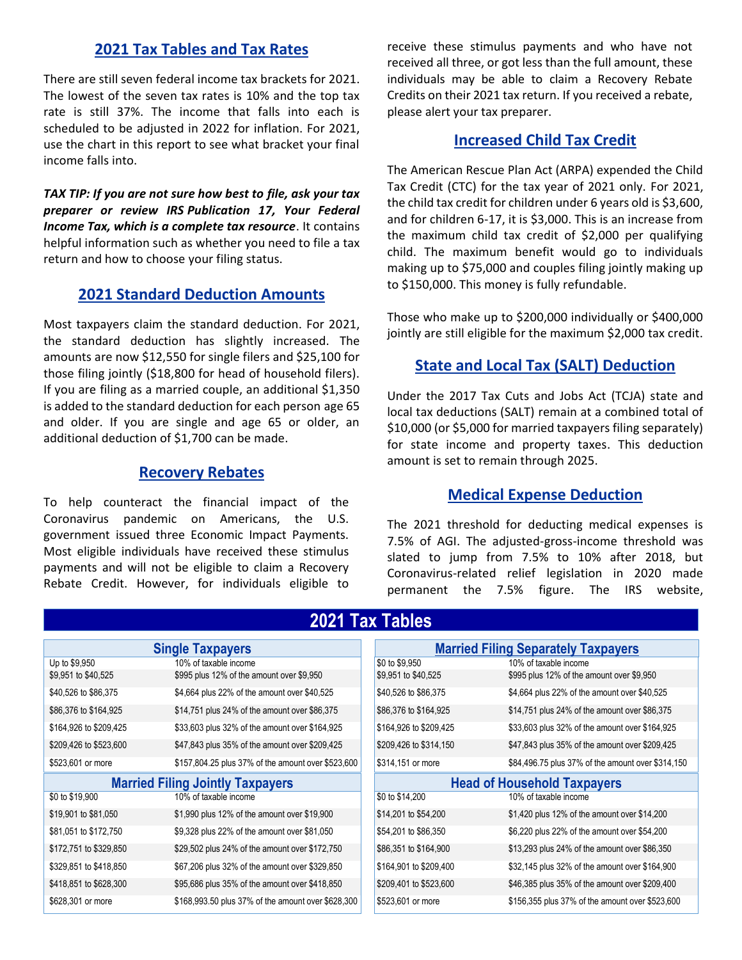#### **2021 Tax Tables and Tax Rates**

There are still seven federal income tax brackets for 2021. The lowest of the seven tax rates is 10% and the top tax rate is still 37%. The income that falls into each is scheduled to be adjusted in 2022 for inflation. For 2021, use the chart in this report to see what bracket your final income falls into.

*TAX TIP: If you are not sure how best to file, ask your tax preparer or review IRS [Publication 17,](https://www.irs.gov/uac/About-Publication-17) Your Federal Income Tax, which is a complete tax resource*. It contains helpful information such as whether you need to file a tax return and how to choose your filing status.

#### **2021 Standard Deduction Amounts**

Most taxpayers claim the standard deduction. For 2021, the standard deduction has slightly increased. The amounts are now \$12,550 for single filers and \$25,100 for those filing jointly (\$18,800 for head of household filers). If you are filing as a married couple, an additional \$1,350 is added to the standard deduction for each person [age 65](https://money.usnews.com/money/retirement/social-security/articles/the-social-security-retirement-age-increases-to-66-5-in-2019)  [and older.](https://money.usnews.com/money/retirement/social-security/articles/the-social-security-retirement-age-increases-to-66-5-in-2019) If you are single and age 65 or older, an additional deduction of \$1,700 can be made.

#### **Recovery Rebates**

To help counteract the financial impact of the Coronavirus pandemic on Americans, the U.S. government issued three Economic Impact Payments. Most eligible individuals have received these stimulus payments and will not be eligible to claim a Recovery Rebate Credit. However, for individuals eligible to

receive these stimulus payments and who have not received all three, or got less than the full amount, these individuals may be able to claim a Recovery Rebate Credits on their 2021 tax return. If you received a rebate, please alert your tax preparer.

#### **Increased Child Tax Credit**

The American Rescue Plan Act (ARPA) expended the Child Tax Credit (CTC) for the tax year of 2021 only. For 2021, the child tax credit for children under 6 years old is \$3,600, and for children 6-17, it is \$3,000. This is an increase from the maximum child tax credit of \$2,000 per qualifying child. The maximum benefit would go to individuals making up to \$75,000 and couples filing jointly making up to \$150,000. This money is fully refundable.

Those who make up to \$200,000 individually or \$400,000 jointly are still eligible for the maximum \$2,000 tax credit.

#### **State and Local Tax (SALT) Deduction**

Under the 2017 Tax Cuts and Jobs Act (TCJA) state and local tax deductions (SALT) remain at a combined total of \$10,000 (or \$5,000 for married taxpayers filing separately) for state income and property taxes. This deduction amount is set to remain through 2025.

#### **Medical Expense Deduction**

The 2021 threshold for deducting medical expenses is 7.5% of AGI. The adjusted-gross-income threshold was slated to jump from 7.5% to 10% after 2018, but Coronavirus-related relief legislation in 2020 made permanent the 7.5% figure. The IRS website,

| <b>Single Taxpayers</b>                 |                                                    | <b>Married Filing Separately Taxpayers</b> |                                    |
|-----------------------------------------|----------------------------------------------------|--------------------------------------------|------------------------------------|
| Up to \$9,950                           | 10% of taxable income                              |                                            | \$0 to \$9,950                     |
| \$9,951 to \$40,525                     | \$995 plus 12% of the amount over \$9,950          |                                            | \$9,951 to \$40,525                |
| \$40,526 to \$86,375                    | \$4,664 plus 22% of the amount over \$40,525       |                                            | \$40,526 to \$86,375               |
| \$86,376 to \$164,925                   | \$14,751 plus 24% of the amount over \$86,375      |                                            | \$86,376 to \$164,925              |
| \$164,926 to \$209,425                  | \$33,603 plus 32% of the amount over \$164,925     |                                            | \$164,926 to \$209,425             |
| \$209,426 to \$523,600                  | \$47,843 plus 35% of the amount over \$209,425     |                                            | \$209,426 to \$314,150             |
| \$523,601 or more                       | \$157,804.25 plus 37% of the amount over \$523,600 |                                            | \$314,151 or more                  |
| <b>Married Filing Jointly Taxpayers</b> |                                                    |                                            | <b>Head of Household Taxpayers</b> |
| \$0 to \$19,900                         | 10% of taxable income                              |                                            | \$0 to \$14,200                    |
| \$19,901 to \$81,050                    | \$1,990 plus 12% of the amount over \$19,900       |                                            | \$14,201 to \$54,200               |
| \$81,051 to \$172,750                   | \$9,328 plus 22% of the amount over \$81,050       |                                            | \$54,201 to \$86,350               |
| \$172,751 to \$329,850                  | \$29,502 plus 24% of the amount over \$172,750     |                                            | \$86,351 to \$164,900              |
| \$329,851 to \$418,850                  | \$67,206 plus 32% of the amount over \$329,850     |                                            | \$164,901 to \$209,400             |
| \$418,851 to \$628,300                  | \$95,686 plus 35% of the amount over \$418,850     |                                            | \$209,401 to \$523,600             |
| \$628,301 or more                       | \$168,993.50 plus 37% of the amount over \$628,300 |                                            | \$523,601 or more                  |

### **2021 Tax Tables**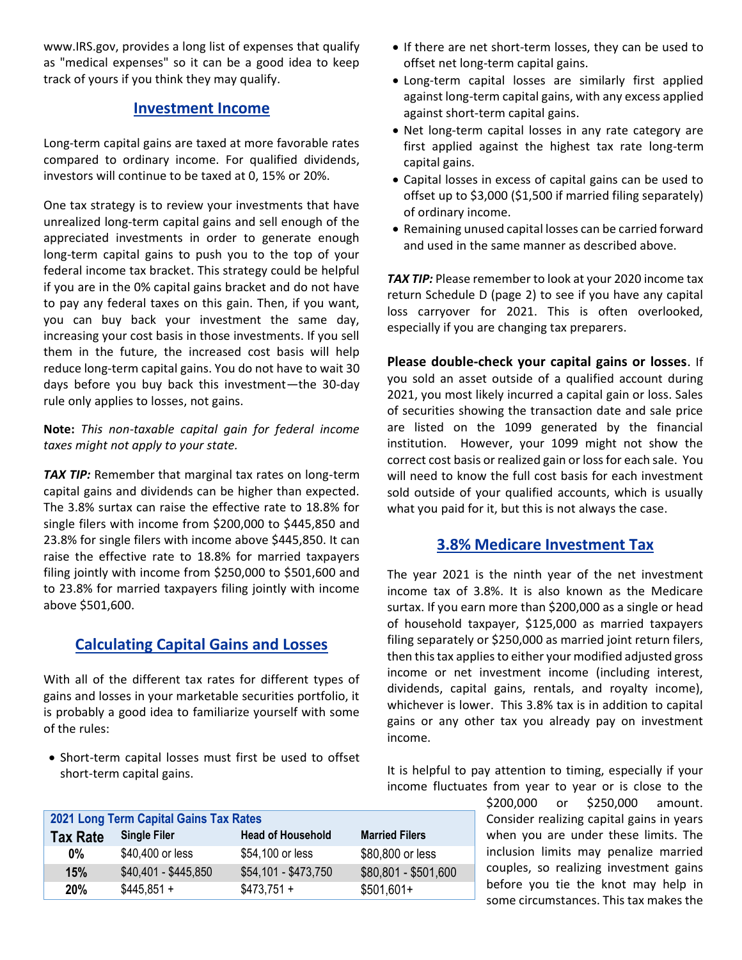www.IRS.gov, provides a [long list of expenses](https://www.irs.gov/publications/p502) that qualify as "medical expenses" so it can be a good idea to keep track of yours if you think they may qualify.

#### **Investment Income**

Long-term capital gains are taxed at more favorable rates compared to ordinary income. For qualified dividends, investors will continue to be taxed at 0, 15% or 20%.

One tax strategy is to review your investments that have unrealized long-term capital gains and sell enough of the appreciated investments in order to generate enough long-term capital gains to push you to the top of your federal income tax bracket. This strategy could be helpful if you are in the 0% capital gains bracket and do not have to pay any federal taxes on this gain. Then, if you want, you can buy back your investment the same day, increasing your cost basis in those investments. If you sell them in the future, the increased cost basis will help reduce long-term capital gains. You do not have to wait 30 days before you buy back this investment—the 30-day rule only applies to losses, not gains.

#### **Note:** *This non-taxable capital gain for federal income taxes might not apply to your state.*

**TAX TIP:** Remember that marginal tax rates on long-term capital gains and dividends can be higher than expected. The 3.8% surtax can raise the effective rate to 18.8% for single filers with income from \$200,000 to \$445,850 and 23.8% for single filers with income above \$445,850. It can raise the effective rate to 18.8% for married taxpayers filing jointly with income from \$250,000 to \$501,600 and to 23.8% for married taxpayers filing jointly with income above \$501,600.

#### **Calculating Capital Gains and Losses**

With all of the different tax rates for different types of gains and losses in your marketable securities portfolio, it is probably a good idea to familiarize yourself with some of the rules:

• Short-term capital losses must first be used to offset short-term capital gains.

- If there are net short-term losses, they can be used to offset net long-term capital gains.
- Long-term capital losses are similarly first applied against long-term capital gains, with any excess applied against short-term capital gains.
- Net long-term capital losses in any rate category are first applied against the highest tax rate long-term capital gains.
- Capital losses in excess of capital gains can be used to offset up to \$3,000 (\$1,500 if married filing separately) of ordinary income.
- Remaining unused capital losses can be carried forward and used in the same manner as described above.

**TAX TIP:** Please remember to look at your 2020 income tax return Schedule D (page 2) to see if you have any capital loss carryover for 2021. This is often overlooked, especially if you are changing tax preparers.

**Please double-check your capital gains or losses**. If you sold an asset outside of a qualified account during 2021, you most likely incurred a capital gain or loss. Sales of securities showing the transaction date and sale price are listed on the 1099 generated by the financial institution. However, your 1099 might not show the correct cost basis or realized gain or loss for each sale. You will need to know the full cost basis for each investment sold outside of your qualified accounts, which is usually what you paid for it, but this is not always the case.

#### **3.8% Medicare Investment Tax**

The year 2021 is the ninth year of the net investment income tax of 3.8%. It is also known as the Medicare surtax. If you earn more than \$200,000 as a single or head of household taxpayer, \$125,000 as married taxpayers filing separately or \$250,000 as married joint return filers, then this tax applies to either your modified adjusted gross income or net investment income (including interest, dividends, capital gains, rentals, and royalty income), whichever is lower. This 3.8% tax is in addition to capital gains or any other tax you already pay on investment income.

It is helpful to pay attention to timing, especially if your income fluctuates from year to year or is close to the

> \$200,000 or \$250,000 amount. Consider realizing capital gains in years when you are under these limits. The inclusion limits may penalize married couples, so realizing investment gains before you tie the knot may help in some circumstances. This tax makes the

| 2021 Long Term Capital Gains Tax Rates |                      |                          |                       |  |  |
|----------------------------------------|----------------------|--------------------------|-----------------------|--|--|
| <b>Tax Rate</b>                        | <b>Single Filer</b>  | <b>Head of Household</b> | <b>Married Filers</b> |  |  |
| 0%                                     | \$40,400 or less     | \$54,100 or less         | \$80,800 or less      |  |  |
| 15%                                    | \$40,401 - \$445,850 | \$54,101 - \$473,750     | \$80,801 - \$501,600  |  |  |
| 20%                                    | $$445,851 +$         | $$473.751 +$             | $$501,601+$           |  |  |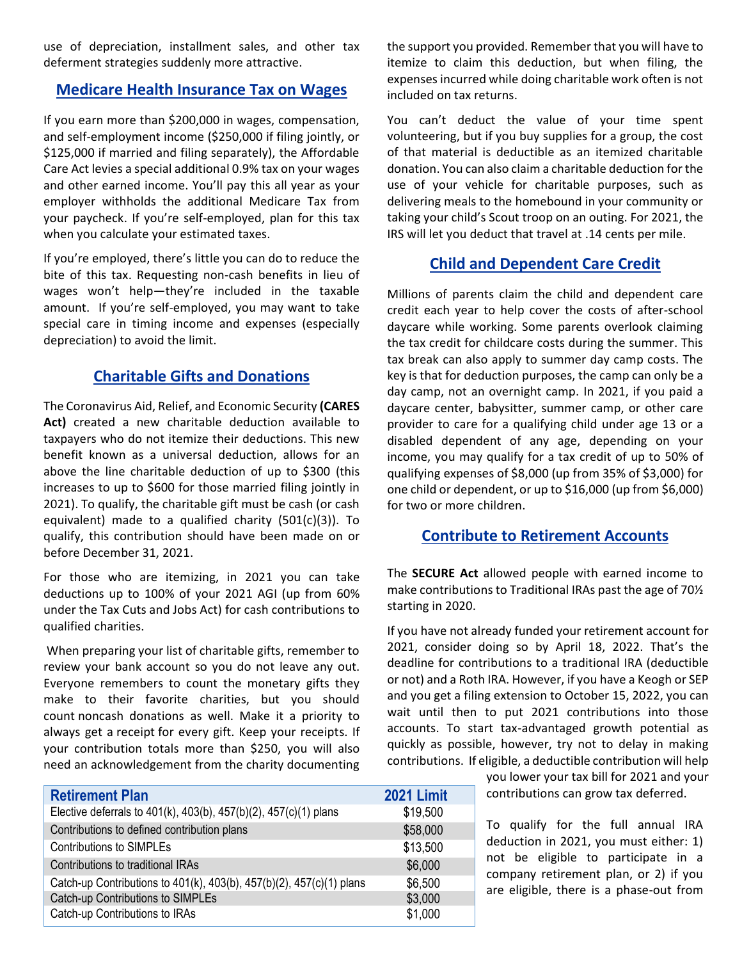use of depreciation, installment sales, and other tax deferment strategies suddenly more attractive.

#### **Medicare Health Insurance Tax on Wages**

If you earn more than \$200,000 in wages, compensation, and self-employment income (\$250,000 if filing jointly, or \$125,000 if married and filing separately), the Affordable Care Act levies a special additional 0.9% tax on your wages and other earned income. You'll pay this all year as your employer withholds the additional Medicare Tax from your paycheck. If you're self-employed, plan for this tax when you calculate your estimated taxes.

If you're employed, there's little you can do to reduce the bite of this tax. Requesting non-cash benefits in lieu of wages won't help—they're included in the taxable amount. If you're self-employed, you may want to take special care in timing income and expenses (especially depreciation) to avoid the limit.

#### **Charitable Gifts and Donations**

The Coronavirus Aid, Relief, and Economic Security **(CARES Act)** created a new charitable deduction available to taxpayers who do not itemize their deductions. This new benefit known as a universal deduction, allows for an above the line charitable deduction of up to \$300 (this increases to up to \$600 for those married filing jointly in 2021). To qualify, the charitable gift must be cash (or cash equivalent) made to a qualified charity (501(c)(3)). To qualify, this contribution should have been made on or before December 31, 2021.

For those who are itemizing, in 2021 you can take deductions up to 100% of your 2021 AGI (up from 60% under the Tax Cuts and Jobs Act) for cash contributions to qualified charities.

When preparing your list of charitable gifts, remember to review your bank account so you do not leave any out. Everyone remembers to count the monetary gifts they make to their favorite charities, but you should count [noncash donations](http://dontmesswithtaxes.typepad.com/dont_mess_with_taxes/2012/09/religious-groups-lead-the-charitable-donation-category.html) as well. Make it a priority to always get a [receipt](http://dontmesswithtaxes.typepad.com/dont_mess_with_taxes/2010/06/deductions-demand-documentation.html) for every gift. Keep your receipts. If your contribution totals more than \$250, you will also need an acknowledgement from the charity documenting

| <b>Retirement Plan</b>                                               | 2021 Limit |
|----------------------------------------------------------------------|------------|
| Elective deferrals to 401(k), 403(b), 457(b)(2), 457(c)(1) plans     | \$19,500   |
| Contributions to defined contribution plans                          | \$58,000   |
| <b>Contributions to SIMPLEs</b>                                      | \$13,500   |
| Contributions to traditional IRAs                                    | \$6,000    |
| Catch-up Contributions to 401(k), 403(b), 457(b)(2), 457(c)(1) plans | \$6,500    |
| Catch-up Contributions to SIMPLEs                                    | \$3,000    |
| Catch-up Contributions to IRAs                                       | \$1,000    |

the support you provided. Remember that you will have to itemize to claim this deduction, but when filing, the expenses incurred while doing charitable work often is not included on tax returns.

You can't deduct the value of your time spent volunteering, but if you buy supplies for a group, the cost of that material is deductible as an itemized charitable donation. You can also claim a charitable deduction for the use of your vehicle for charitable purposes, such as delivering meals to the homebound in your community or taking your child's Scout troop on an outing. For 2021, the IRS will let you deduct that travel at .14 cents per mile.

#### **Child and Dependent Care Credit**

Millions of parents claim the child and dependent care credit each year to help cover the costs of after-school daycare while working. Some parents overlook claiming the tax credit for childcare costs during the summer. This tax break can also apply to summer day camp costs. The key is that for deduction purposes, the camp can only be a day camp, not an overnight camp. In 2021, if you paid a daycare center, babysitter, summer camp, or other care provider to care for a qualifying child under age 13 or a disabled dependent of any age, depending on your income, you may qualify for a tax credit of up to 50% of qualifying expenses of \$8,000 (up from 35% of \$3,000) for one child or dependent, or up to \$16,000 (up from \$6,000) for two or more children.

#### **Contribute to Retirement Accounts**

The **SECURE Act** allowed people with earned income to make contributions to Traditional IRAs past the age of 70½ starting in 2020.

If you have not already funded your retirement account for 2021, consider doing so by April 18, 2022. That's the deadline for contributions to a traditional IRA (deductible or not) and a Roth IRA. However, if you have a Keogh or SEP and you get a filing extension to October 15, 2022, you can wait until then to put 2021 contributions into those accounts. To start tax-advantaged growth potential as quickly as possible, however, try not to delay in making contributions. If eligible, a deductible contribution will help

> you lower your tax bill for 2021 and your contributions can grow tax deferred.

> To qualify for the full annual IRA deduction in 2021, you must either: 1) not be eligible to participate in a company retirement plan, or 2) if you are eligible, there is a phase-out from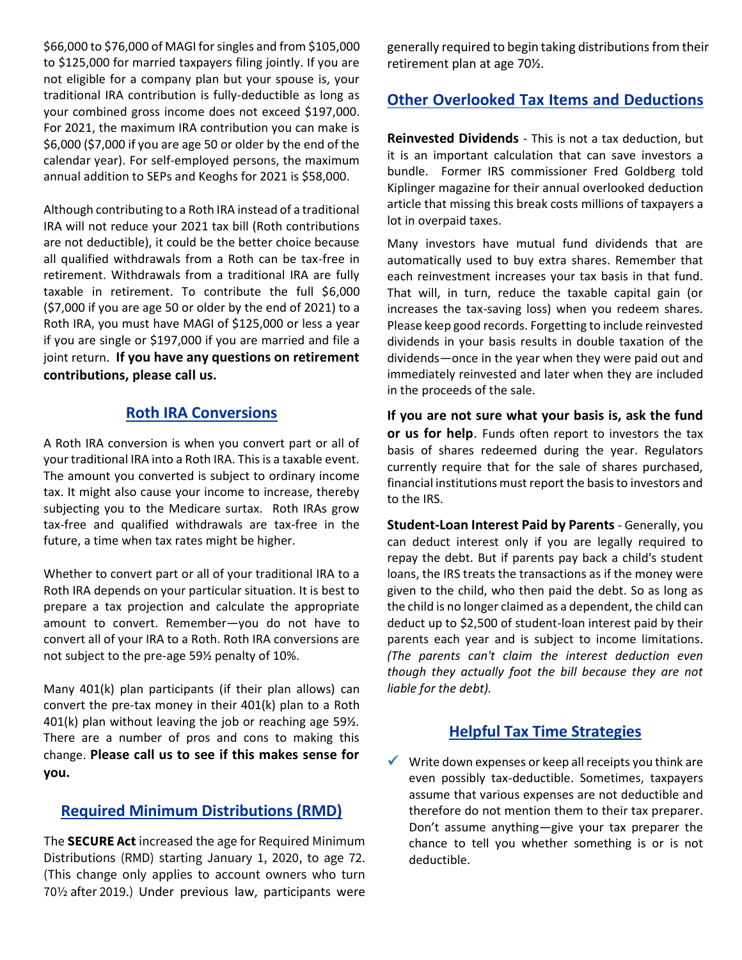\$66,000 to \$76,000 of MAGI for singles and from \$105,000 to \$125,000 for married taxpayers filing jointly. If you are not eligible for a company plan but your spouse is, your traditional IRA contribution is fully-deductible as long as your combined gross income does not exceed \$197,000. For 2021, the maximum IRA contribution you can make is \$6,000 (\$7,000 if you are age 50 or older by the end of the calendar year). For self-employed persons, the maximum annual addition to SEPs and Keoghs for 2021 is \$58,000.

Although contributing to a Roth IRA instead of a traditional IRA will not reduce your 2021 tax bill (Roth contributions are not deductible), it could be the better choice because all qualified withdrawals from a Roth can be tax-free in retirement. Withdrawals from a traditional IRA are fully taxable in retirement. To contribute the full \$6,000 (\$7,000 if you are age 50 or older by the end of 2021) to a Roth IRA, you must have MAGI of \$125,000 or less a year if you are single or \$197,000 if you are married and file a joint return. **If you have any questions on retirement contributions, please call us.**

#### **Roth IRA Conversions**

A Roth IRA conversion is when you convert part or all of your traditional IRA into a Roth IRA. This is a taxable event. The amount you converted is subject to ordinary income tax. It might also cause your income to increase, thereby subjecting you to the Medicare surtax. Roth IRAs grow tax-free and qualified withdrawals are tax-free in the future, a time when tax rates might be higher.

Whether to convert part or all of your traditional IRA to a Roth IRA depends on your particular situation. It is best to prepare a tax projection and calculate the appropriate amount to convert. Remember—you do not have to convert all of your IRA to a Roth. Roth IRA conversions are not subject to the pre-age 59½ penalty of 10%.

Many 401(k) plan participants (if their plan allows) can convert the pre-tax money in their 401(k) plan to a Roth 401(k) plan without leaving the job or reaching age 59½. There are a number of pros and cons to making this change. **Please call us to see if this makes sense for you.**

#### **Required Minimum Distributions (RMD)**

The **SECURE Act** increased the age for Required Minimum Distributions (RMD) starting January 1, 2020, to age 72. (This change only applies to account owners who turn 70½ after 2019.) Under previous law, participants were generally required to begin taking distributions from their retirement plan at age 70½.

#### **Other Overlooked Tax Items and Deductions**

**Reinvested Dividends** - This is not a tax deduction, but it is an important calculation that can save investors a bundle. Former IRS commissioner Fred Goldberg told Kiplinger magazine for their annual overlooked deduction article that missing this break costs millions of taxpayers a lot in overpaid taxes.

Many investors have mutual fund dividends that are automatically used to buy extra shares. Remember that each reinvestment increases your tax basis in that fund. That will, in turn, reduce the taxable capital gain (or increases the tax-saving loss) when you redeem shares. Please keep good records. Forgetting to include reinvested dividends in your basis results in double taxation of the dividends—once in the year when they were paid out and immediately reinvested and later when they are included in the proceeds of the sale.

**If you are not sure what your basis is, ask the fund or us for help**. Funds often report to investors the tax basis of shares redeemed during the year. Regulators currently require that for the sale of shares purchased, financial institutions must report the basis to investors and to the IRS.

**Student-Loan Interest Paid by Parents** - Generally, you can deduct interest only if you are legally required to repay the debt. But if parents pay back a child's student loans, the IRS treats the transactions as if the money were given to the child, who then paid the debt. So as long as the child is no longer claimed as a dependent, the child can deduct up to \$2,500 of student-loan interest paid by their parents each year and is subject to income limitations. *(The parents can't claim the interest deduction even though they actually foot the bill because they are not liable for the debt).*

#### **Helpful Tax Time Strategies**

 $\checkmark$  Write down expenses or keep all receipts you think are even possibly tax-deductible. Sometimes, taxpayers assume that various expenses are not deductible and therefore do not mention them to their tax preparer. Don't assume anything—give your tax preparer the chance to tell you whether something is or is not deductible.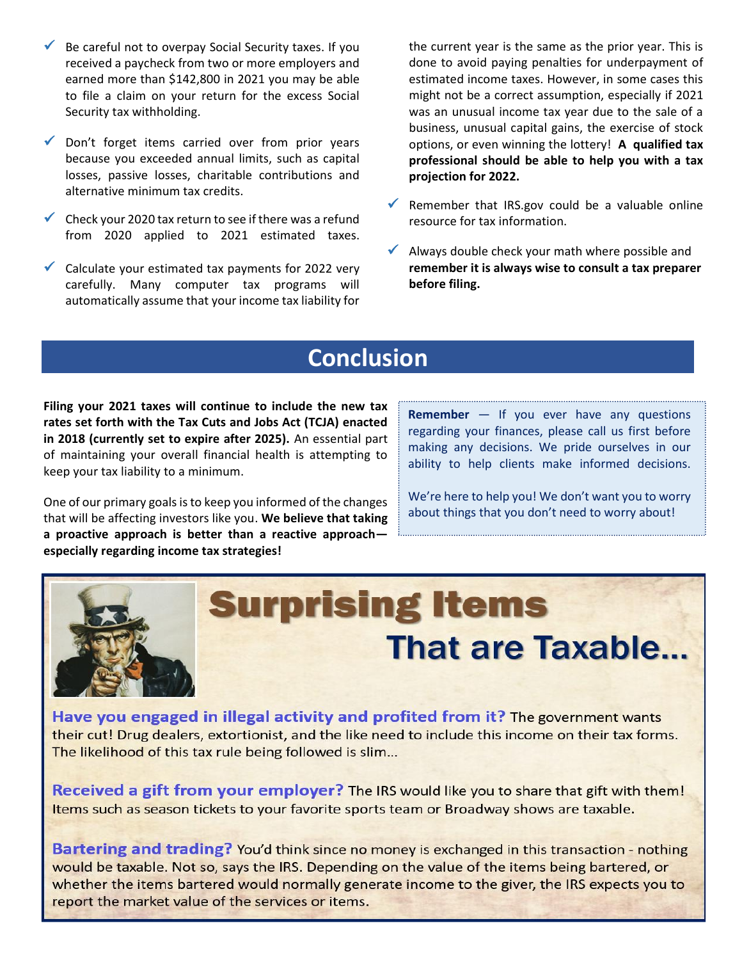- $\checkmark$  Be careful not to overpay Social Security taxes. If you received a paycheck from two or more employers and earned more than \$142,800 in 2021 you may be able to file a claim on your return for the excess Social Security tax withholding.
- $\checkmark$  Don't forget items carried over from prior years because you exceeded annual limits, such as capital losses, passive losses, charitable contributions and alternative minimum tax credits.
- $\checkmark$  Check your 2020 tax return to see if there was a refund from 2020 applied to 2021 estimated taxes.
- $\checkmark$  Calculate your estimated tax payments for 2022 very carefully. Many computer tax programs will automatically assume that your income tax liability for

the current year is the same as the prior year. This is done to avoid paying penalties for underpayment of estimated income taxes. However, in some cases this might not be a correct assumption, especially if 2021 was an unusual income tax year due to the sale of a business, unusual capital gains, the exercise of stock options, or even winning the lottery! **A qualified tax professional should be able to help you with a tax projection for 2022.**

- $\checkmark$  Remember that IRS.gov could be a valuable online resource for tax information.
- Always double check your math where possible and **remember it is always wise to consult a tax preparer before filing.**

# **Conclusion**

**Filing your 2021 taxes will continue to include the new tax rates set forth with the Tax Cuts and Jobs Act (TCJA) enacted in 2018 (currently set to expire after 2025).** An essential part of maintaining your overall financial health is attempting to keep your tax liability to a minimum.

One of our primary goals is to keep you informed of the changes that will be affecting investors like you. **We believe that taking a proactive approach is better than a reactive approach especially regarding income tax strategies!** 

**Remember** — If you ever have any questions regarding your finances, please call us first before making any decisions. We pride ourselves in our ability to help clients make informed decisions.

We're here to help you! We don't want you to worry about things that you don't need to worry about!



# **Surprising Items That are Taxable.**

Have you engaged in illegal activity and profited from it? The government wants their cut! Drug dealers, extortionist, and the like need to include this income on their tax forms. The likelihood of this tax rule being followed is slim...

Received a gift from your employer? The IRS would like you to share that gift with them! Items such as season tickets to your favorite sports team or Broadway shows are taxable.

Bartering and trading? You'd think since no money is exchanged in this transaction - nothing would be taxable. Not so, says the IRS. Depending on the value of the items being bartered, or whether the items bartered would normally generate income to the giver, the IRS expects you to report the market value of the services or items.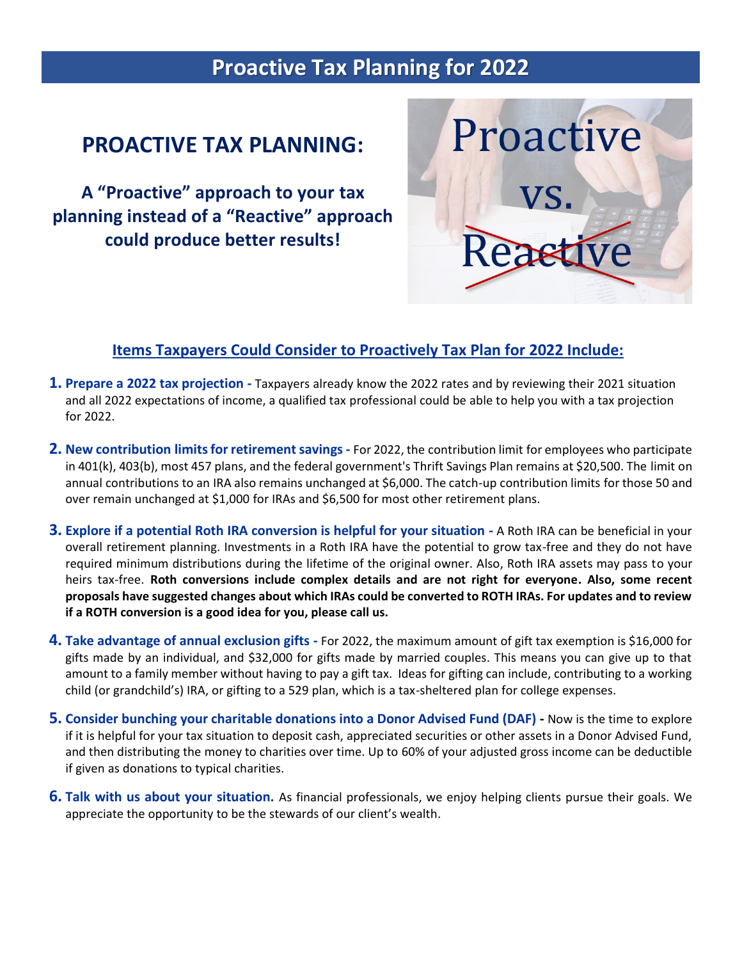# **Proactive Tax Planning for 2022**

## **PROACTIVE TAX PLANNING:**

**A "Proactive" approach to your tax planning instead of a "Reactive" approach could produce better results!**



#### **Items Taxpayers Could Consider to Proactively Tax Plan for 2022 Include:**

- **1. Prepare a 2022 tax projection -** Taxpayers already know the 2022 rates and by reviewing their 2021 situation and all 2022 expectations of income, a qualified tax professional could be able to help you with a tax projection for 2022.
- **2. New contribution limitsfor retirement savings -** For 2022, the contribution limit for employees who participate in 401(k), 403(b), most 457 plans, and the federal government's Thrift Savings Plan remains at \$20,500. The limit on annual contributions to an IRA also remains unchanged at \$6,000. The catch-up contribution limits for those 50 and over remain unchanged at \$1,000 for IRAs and \$6,500 for most other retirement plans.
- **3. Explore if a potential Roth IRA conversion is helpful for your situation -** A Roth IRA can be beneficial in your overall retirement planning. Investments in a Roth IRA have the potential to grow tax-free and they do not have required minimum distributions during the lifetime of the original owner. Also, Roth IRA assets may pass to your heirs tax-free. **Roth conversions include complex details and are not right for everyone. Also, some recent proposals have suggested changes about which IRAs could be converted to ROTH IRAs. For updates and to review if a ROTH conversion is a good idea for you, please call us.**
- **4. Take advantage of annual exclusion gifts -** For 2022, the maximum amount of gift tax exemption is \$16,000 for gifts made by an individual, and \$32,000 for gifts made by married couples. This means you can give up to that amount to a family member without having to pay a gift tax. Ideas for gifting can include, contributing to a working child (or grandchild's) IRA, or gifting to a 529 plan, which is a tax-sheltered plan for college expenses.
- **5. Consider bunching your charitable donations into a Donor Advised Fund (DAF) -** Now is the time to explore if it is helpful for your tax situation to deposit cash, appreciated securities or other assets in a Donor Advised Fund, and then distributing the money to charities over time. Up to 60% of your adjusted gross income can be deductible if given as donations to typical charities.
- **6. Talk with us about your situation.** As financial professionals, we enjoy helping clients pursue their goals. We appreciate the opportunity to be the stewards of our client's wealth.